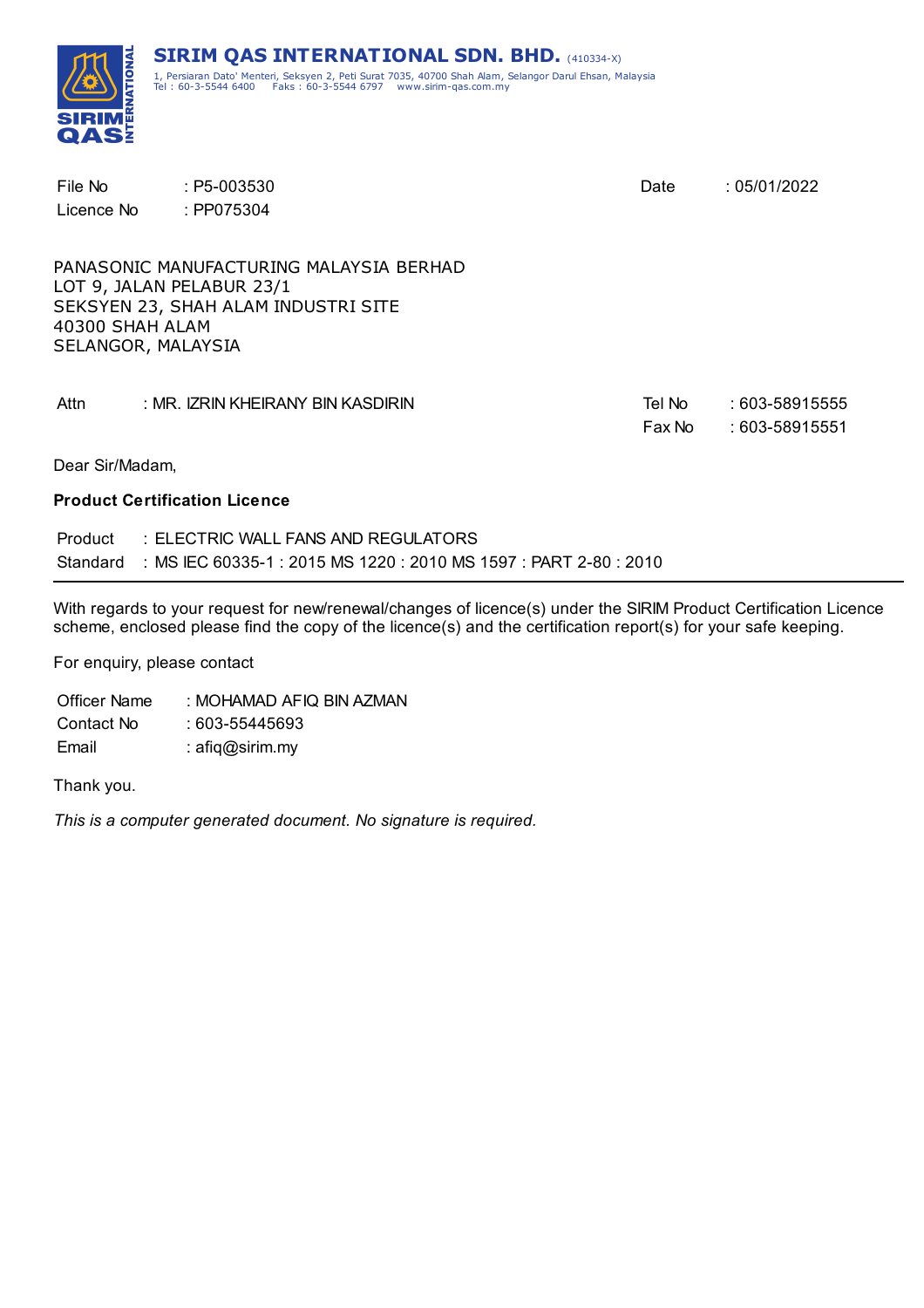

| File No<br>Licence No                 | $: P5-003530$<br>: PP075304                                                                                 | Date             | :05/01/2022                      |
|---------------------------------------|-------------------------------------------------------------------------------------------------------------|------------------|----------------------------------|
| 40300 SHAH ALAM<br>SELANGOR, MALAYSIA | PANASONIC MANUFACTURING MALAYSIA BERHAD<br>LOT 9, JALAN PELABUR 23/1<br>SEKSYEN 23, SHAH ALAM INDUSTRI SITE |                  |                                  |
| Attn                                  | : MR. IZRIN KHEIRANY BIN KASDIRIN                                                                           | Tel No<br>Fax No | : 603-58915555<br>: 603-58915551 |
| Dear Sir/Madam,                       |                                                                                                             |                  |                                  |

#### **Product Certification Licence**

| Product | $\pm$ ELECTRIC WALL FANS AND REGULATORS.                                   |
|---------|----------------------------------------------------------------------------|
|         | Standard : MS IEC 60335-1 : 2015 MS 1220 : 2010 MS 1597 : PART 2-80 : 2010 |

With regards to your request for new/renewal/changes of licence(s) under the SIRIM Product Certification Licence scheme, enclosed please find the copy of the licence(s) and the certification report(s) for your safe keeping.

For enquiry, please contact

Officer Name : MOHAMAD AFIQ BIN AZMAN Contact No : 603-55445693 Email : afiq@sirim.my

Thank you.

*This is a computer generated document. No signature is required.*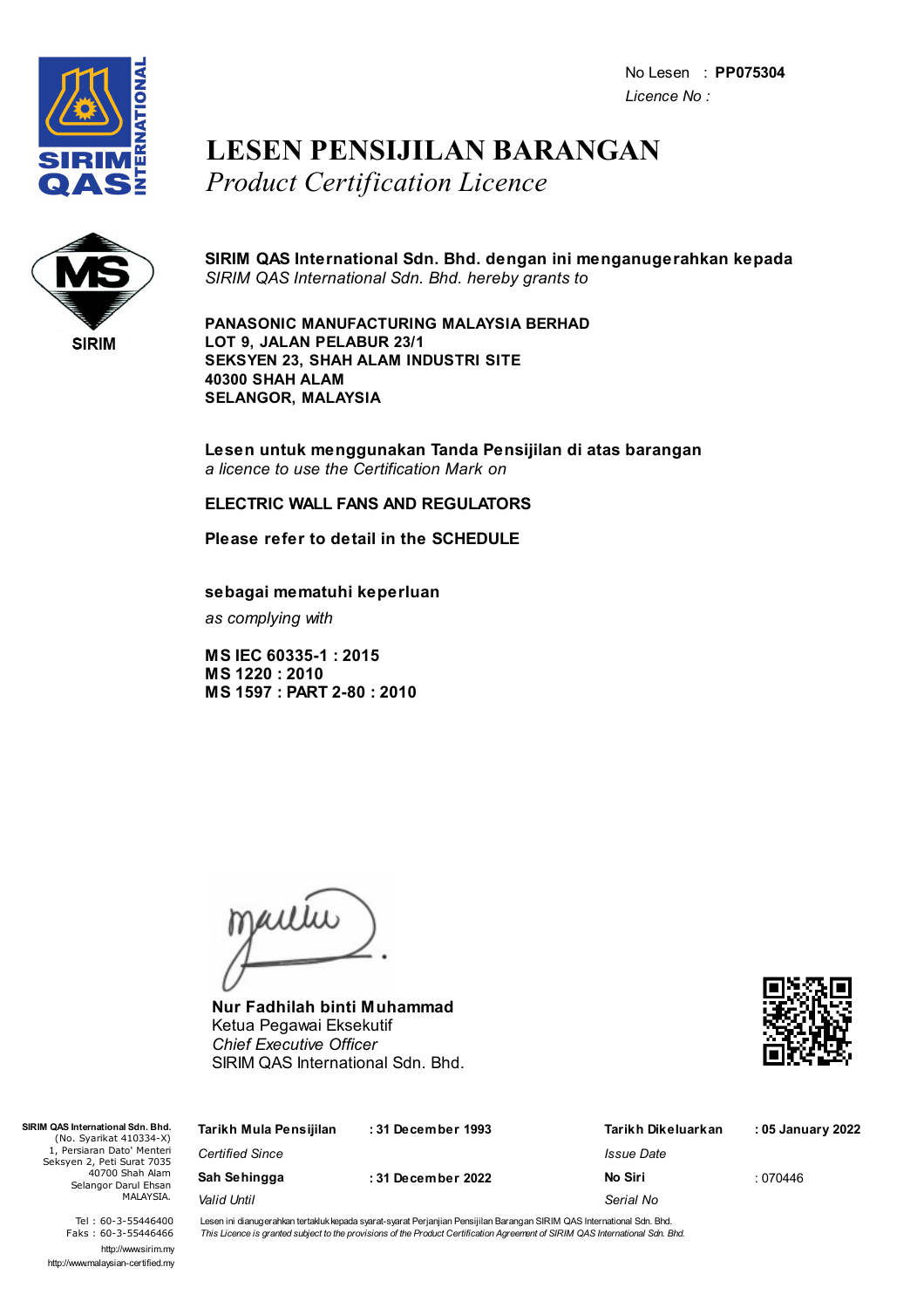No Lesen : **PP075304** *Licence No :*



### **LESEN PENSIJILAN BARANGAN** *Product Certification Licence*



**SIRIM QAS International Sdn. Bhd. dengan ini menganugerahkan kepada** *SIRIM QAS International Sdn. Bhd. hereby grants to*

**PANASONIC MANUFACTURING MALAYSIA BERHAD LOT 9, JALAN PELABUR 23/1 SEKSYEN 23, SHAH ALAM INDUSTRI SITE 40300 SHAH ALAM SELANGOR, MALAYSIA**

**Lesen untuk menggunakan Tanda Pensijilan di atas barangan** *a licence to use the Certification Mark on*

### **ELECTRIC WALL FANS AND REGULATORS**

**Please refer to detail in the SCHEDULE**

**sebagai mematuhi keperluan**

*as complying with*

**MS IEC 60335-1 : 2015 MS 1220 : 2010 MS 1597 : PART 2-80 : 2010**

jailie

**Nur Fadhilah binti Muhammad** Ketua Pegawai Eksekutif *Chief Executive Officer* SIRIM QAS International Sdn. Bhd.



| SIRIM QAS International Sdn. Bhd.<br>(No. Syarikat 410334-X) | Tarikh Mula Pensijilan | : 31 December 1993 | Tarikh Dikeluarkan | : 05 January 2022 |
|--------------------------------------------------------------|------------------------|--------------------|--------------------|-------------------|
| 1, Persiaran Dato' Menteri<br>Seksyen 2, Peti Surat 7035     | <b>Certified Since</b> |                    | Issue Date         |                   |
| 40700 Shah Alam<br>Selangor Darul Ehsan                      | Sah Sehingga           | :31 December 2022  | No Siri            | : 070446          |
| MALAYSIA.                                                    | Valid Until            |                    | Serial No          |                   |

Tel : 60-3-55446400 Faks : 60-3-55446466 http://www.sirim.my http://www.malaysian-certified.my Lesen ini dianugerahkan tertakluk kepada syarat-syarat Perjanjian Pensijilan Barangan SIRIM QAS International Sdn. Bhd. This Licence is granted subject to the provisions of the Product Certification Agreement of SIRIM QAS International Sdn. Bhd.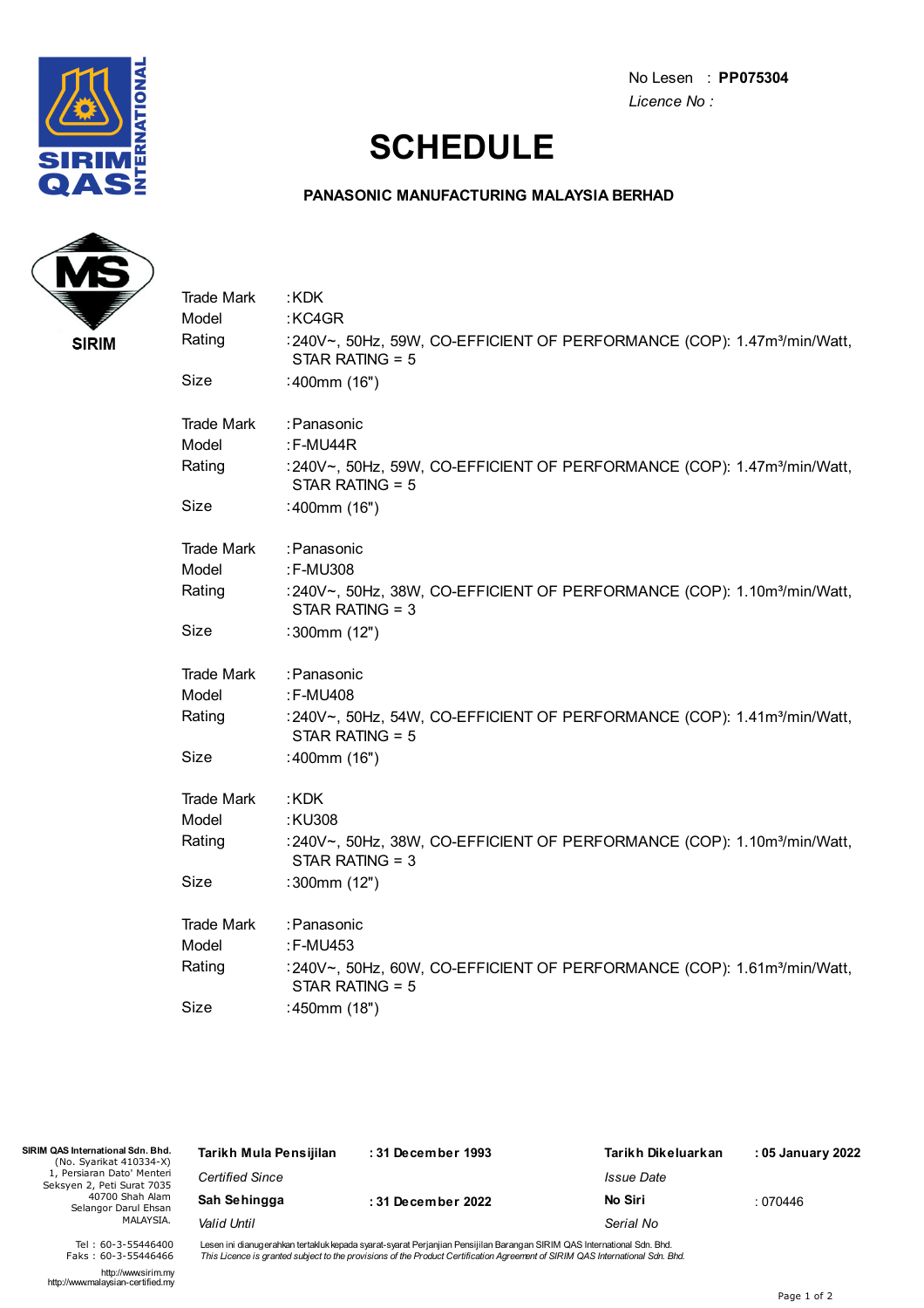

No Lesen : **PP075304** *Licence No :*

## **SCHEDULE**

### **PANASONIC MANUFACTURING MALAYSIA BERHAD**



| <b>Trade Mark</b> | :KDK                                                                                                     |
|-------------------|----------------------------------------------------------------------------------------------------------|
| Model             | :KC4GR                                                                                                   |
| Rating            | :240V~, 50Hz, 59W, CO-EFFICIENT OF PERFORMANCE (COP): 1.47m <sup>3</sup> /min/Watt,<br>STAR RATING = $5$ |
| Size              | :400mm (16")                                                                                             |
| Trade Mark        | :Panasonic                                                                                               |
| Model             | $:$ F-MU44R                                                                                              |
| Rating            | :240V~, 50Hz, 59W, CO-EFFICIENT OF PERFORMANCE (COP): 1.47m <sup>3</sup> /min/Watt,<br>STAR RATING = $5$ |
| Size              | :400mm (16")                                                                                             |
| <b>Trade Mark</b> | :Panasonic                                                                                               |
| Model             | :F-MU308                                                                                                 |
| Rating            | :240V~, 50Hz, 38W, CO-EFFICIENT OF PERFORMANCE (COP): 1.10m <sup>3</sup> /min/Watt,<br>STAR RATING = 3   |
| Size              | :300mm (12")                                                                                             |
| <b>Trade Mark</b> | : Panasonic                                                                                              |
| Model             | :F-MU408                                                                                                 |
| Rating            | :240V~, 50Hz, 54W, CO-EFFICIENT OF PERFORMANCE (COP): 1.41m <sup>3</sup> /min/Watt,<br>STAR RATING = $5$ |
| Size              | :400mm (16")                                                                                             |
| <b>Trade Mark</b> | :KDK                                                                                                     |
| Model             | :KU308                                                                                                   |
| Rating            | :240V~, 50Hz, 38W, CO-EFFICIENT OF PERFORMANCE (COP): 1.10m <sup>3</sup> /min/Watt,<br>STAR RATING = 3   |
| Size              | :300mm (12")                                                                                             |
| <b>Trade Mark</b> | : Panasonic                                                                                              |
| Model             | :F-MU453                                                                                                 |
| Rating            | :240V~, 50Hz, 60W, CO-EFFICIENT OF PERFORMANCE (COP): 1.61m <sup>3</sup> /min/Watt,<br>STAR RATING = $5$ |
| Size              | :450mm (18")                                                                                             |

| SIRIM QAS International Sdn. Bhd.<br>(No. Syarikat 410334-X) | Tarikh Mula Pensijilan | :31 December 1993  | Tarikh Dikeluarkan | : 05 January 2022 |
|--------------------------------------------------------------|------------------------|--------------------|--------------------|-------------------|
| 1, Persiaran Dato' Menteri<br>Seksyen 2, Peti Surat 7035     | <b>Certified Since</b> |                    | Issue Date         |                   |
| 40700 Shah Alam<br>Selangor Darul Ehsan                      | Sah Sehingga           | : 31 December 2022 | No Siri            | : 070446          |
| MALAYSIA.                                                    | Valid Until            |                    | Serial No          |                   |
|                                                              |                        |                    |                    |                   |

Lesen ini dianugerahkan tertakluk kepada syarat-syarat Perjanjian Pensijilan Barangan SIRIM QAS International Sdn. Bhd.<br>*This Licence is granted subject to the provisions of the Product Certification Agreement of SIRIM QAS* 

http://www.sirim.my http://www.malaysian-certified.my

Tel : 60-3-55446400 Faks : 60-3-55446466